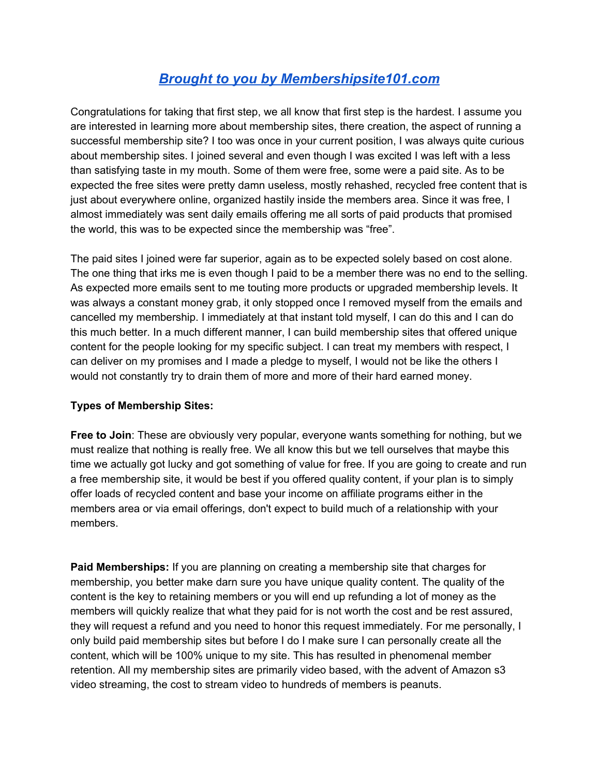# *Brought to you by [Membershipsite101.com](http://membershipsite101.com/join-us)*

Congratulations for taking that first step, we all know that first step is the hardest. I assume you are interested in learning more about membership sites, there creation, the aspect of running a successful membership site? I too was once in your current position, I was always quite curious about membership sites. I joined several and even though I was excited I was left with a less than satisfying taste in my mouth. Some of them were free, some were a paid site. As to be expected the free sites were pretty damn useless, mostly rehashed, recycled free content that is just about everywhere online, organized hastily inside the members area. Since it was free, I almost immediately was sent daily emails offering me all sorts of paid products that promised the world, this was to be expected since the membership was "free".

The paid sites I joined were far superior, again as to be expected solely based on cost alone. The one thing that irks me is even though I paid to be a member there was no end to the selling. As expected more emails sent to me touting more products or upgraded membership levels. It was always a constant money grab, it only stopped once I removed myself from the emails and cancelled my membership. I immediately at that instant told myself, I can do this and I can do this much better. In a much different manner, I can build membership sites that offered unique content for the people looking for my specific subject. I can treat my members with respect, I can deliver on my promises and I made a pledge to myself, I would not be like the others I would not constantly try to drain them of more and more of their hard earned money.

## **Types of Membership Sites:**

**Free to Join**: These are obviously very popular, everyone wants something for nothing, but we must realize that nothing is really free. We all know this but we tell ourselves that maybe this time we actually got lucky and got something of value for free. If you are going to create and run a free membership site, it would be best if you offered quality content, if your plan is to simply offer loads of recycled content and base your income on affiliate programs either in the members area or via email offerings, don't expect to build much of a relationship with your members.

**Paid Memberships:** If you are planning on creating a membership site that charges for membership, you better make darn sure you have unique quality content. The quality of the content is the key to retaining members or you will end up refunding a lot of money as the members will quickly realize that what they paid for is not worth the cost and be rest assured, they will request a refund and you need to honor this request immediately. For me personally, I only build paid membership sites but before I do I make sure I can personally create all the content, which will be 100% unique to my site. This has resulted in phenomenal member retention. All my membership sites are primarily video based, with the advent of Amazon s3 video streaming, the cost to stream video to hundreds of members is peanuts.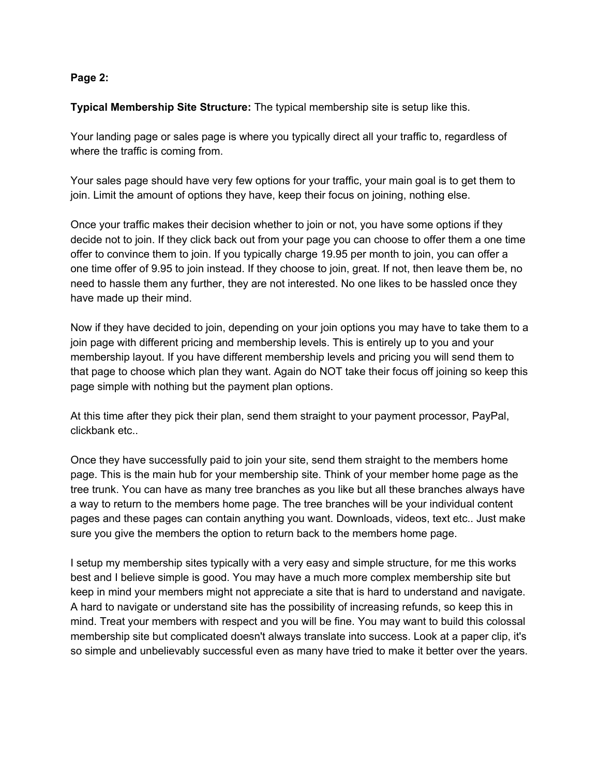## **Page 2:**

**Typical Membership Site Structure:** The typical membership site is setup like this.

Your landing page or sales page is where you typically direct all your traffic to, regardless of where the traffic is coming from.

Your sales page should have very few options for your traffic, your main goal is to get them to join. Limit the amount of options they have, keep their focus on joining, nothing else.

Once your traffic makes their decision whether to join or not, you have some options if they decide not to join. If they click back out from your page you can choose to offer them a one time offer to convince them to join. If you typically charge 19.95 per month to join, you can offer a one time offer of 9.95 to join instead. If they choose to join, great. If not, then leave them be, no need to hassle them any further, they are not interested. No one likes to be hassled once they have made up their mind.

Now if they have decided to join, depending on your join options you may have to take them to a join page with different pricing and membership levels. This is entirely up to you and your membership layout. If you have different membership levels and pricing you will send them to that page to choose which plan they want. Again do NOT take their focus off joining so keep this page simple with nothing but the payment plan options.

At this time after they pick their plan, send them straight to your payment processor, PayPal, clickbank etc..

Once they have successfully paid to join your site, send them straight to the members home page. This is the main hub for your membership site. Think of your member home page as the tree trunk. You can have as many tree branches as you like but all these branches always have a way to return to the members home page. The tree branches will be your individual content pages and these pages can contain anything you want. Downloads, videos, text etc.. Just make sure you give the members the option to return back to the members home page.

I setup my membership sites typically with a very easy and simple structure, for me this works best and I believe simple is good. You may have a much more complex membership site but keep in mind your members might not appreciate a site that is hard to understand and navigate. A hard to navigate or understand site has the possibility of increasing refunds, so keep this in mind. Treat your members with respect and you will be fine. You may want to build this colossal membership site but complicated doesn't always translate into success. Look at a paper clip, it's so simple and unbelievably successful even as many have tried to make it better over the years.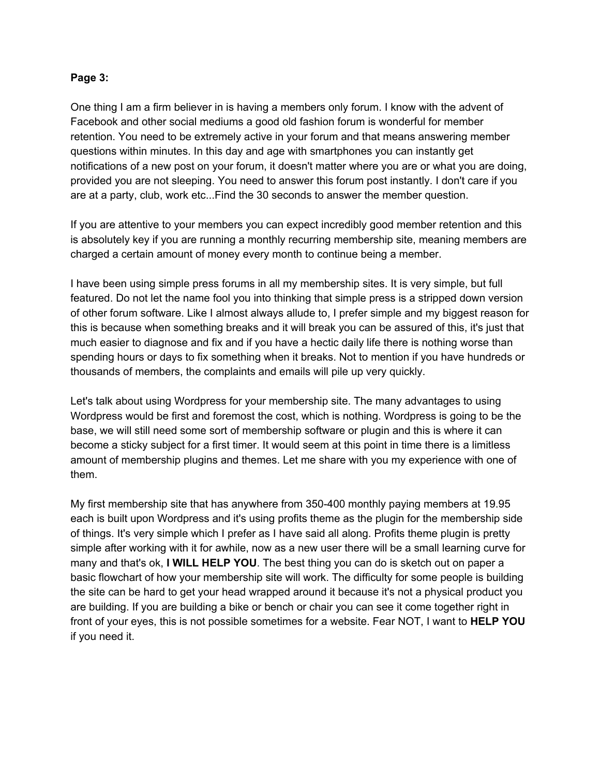#### **Page 3:**

One thing I am a firm believer in is having a members only forum. I know with the advent of Facebook and other social mediums a good old fashion forum is wonderful for member retention. You need to be extremely active in your forum and that means answering member questions within minutes. In this day and age with smartphones you can instantly get notifications of a new post on your forum, it doesn't matter where you are or what you are doing, provided you are not sleeping. You need to answer this forum post instantly. I don't care if you are at a party, club, work etc...Find the 30 seconds to answer the member question.

If you are attentive to your members you can expect incredibly good member retention and this is absolutely key if you are running a monthly recurring membership site, meaning members are charged a certain amount of money every month to continue being a member.

I have been using simple press forums in all my membership sites. It is very simple, but full featured. Do not let the name fool you into thinking that simple press is a stripped down version of other forum software. Like I almost always allude to, I prefer simple and my biggest reason for this is because when something breaks and it will break you can be assured of this, it's just that much easier to diagnose and fix and if you have a hectic daily life there is nothing worse than spending hours or days to fix something when it breaks. Not to mention if you have hundreds or thousands of members, the complaints and emails will pile up very quickly.

Let's talk about using Wordpress for your membership site. The many advantages to using Wordpress would be first and foremost the cost, which is nothing. Wordpress is going to be the base, we will still need some sort of membership software or plugin and this is where it can become a sticky subject for a first timer. It would seem at this point in time there is a limitless amount of membership plugins and themes. Let me share with you my experience with one of them.

My first membership site that has anywhere from 350400 monthly paying members at 19.95 each is built upon Wordpress and it's using profits theme as the plugin for the membership side of things. It's very simple which I prefer as I have said all along. Profits theme plugin is pretty simple after working with it for awhile, now as a new user there will be a small learning curve for many and that's ok, **I WILL HELP YOU**. The best thing you can do is sketch out on paper a basic flowchart of how your membership site will work. The difficulty for some people is building the site can be hard to get your head wrapped around it because it's not a physical product you are building. If you are building a bike or bench or chair you can see it come together right in front of your eyes, this is not possible sometimes for a website. Fear NOT, I want to **HELP YOU** if you need it.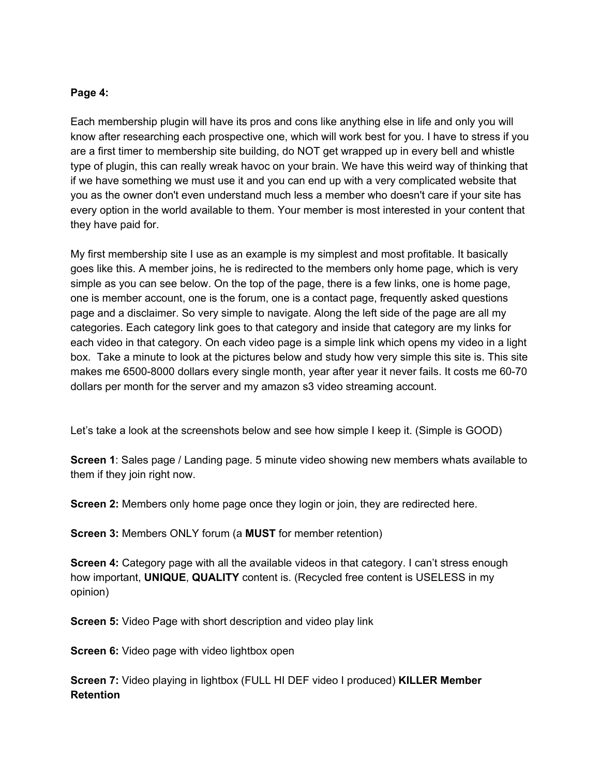## **Page 4:**

Each membership plugin will have its pros and cons like anything else in life and only you will know after researching each prospective one, which will work best for you. I have to stress if you are a first timer to membership site building, do NOT get wrapped up in every bell and whistle type of plugin, this can really wreak havoc on your brain. We have this weird way of thinking that if we have something we must use it and you can end up with a very complicated website that you as the owner don't even understand much less a member who doesn't care if your site has every option in the world available to them. Your member is most interested in your content that they have paid for.

My first membership site I use as an example is my simplest and most profitable. It basically goes like this. A member joins, he is redirected to the members only home page, which is very simple as you can see below. On the top of the page, there is a few links, one is home page, one is member account, one is the forum, one is a contact page, frequently asked questions page and a disclaimer. So very simple to navigate. Along the left side of the page are all my categories. Each category link goes to that category and inside that category are my links for each video in that category. On each video page is a simple link which opens my video in a light box. Take a minute to look at the pictures below and study how very simple this site is. This site makes me 6500-8000 dollars every single month, year after year it never fails. It costs me 60-70 dollars per month for the server and my amazon s3 video streaming account.

Let's take a look at the screenshots below and see how simple I keep it. (Simple is GOOD)

**Screen 1**: Sales page / Landing page. 5 minute video showing new members whats available to them if they join right now.

**Screen 2:** Members only home page once they login or join, they are redirected here.

**Screen 3: Members ONLY forum (a MUST for member retention)** 

**Screen 4:** Category page with all the available videos in that category. I can't stress enough how important, **UNIQUE**, **QUALITY**content is. (Recycled free content is USELESS in my opinion)

**Screen 5:** Video Page with short description and video play link

**Screen 6:** Video page with video lightbox open

**Screen 7:** Video playing in lightbox (FULL HI DEF video I produced) **KILLER Member Retention**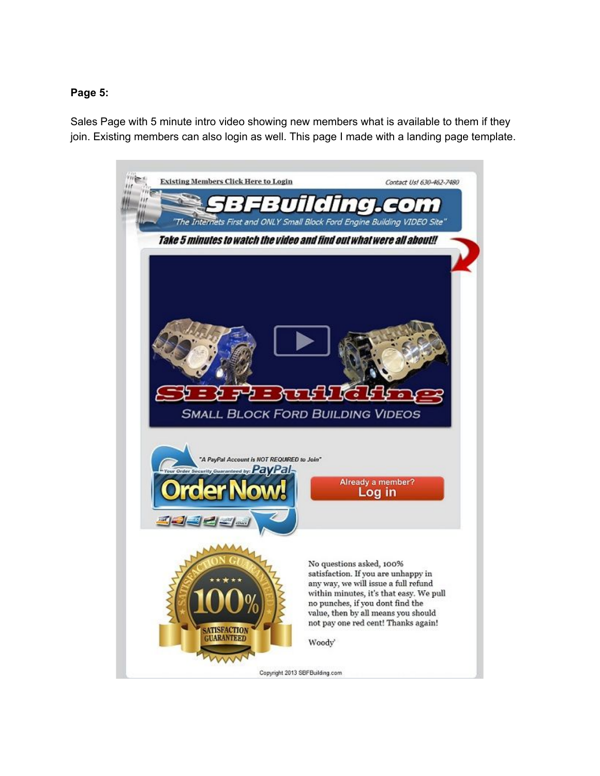## **Page 5:**

Sales Page with 5 minute intro video showing new members what is available to them if they join. Existing members can also login as well. This page I made with a landing page template.

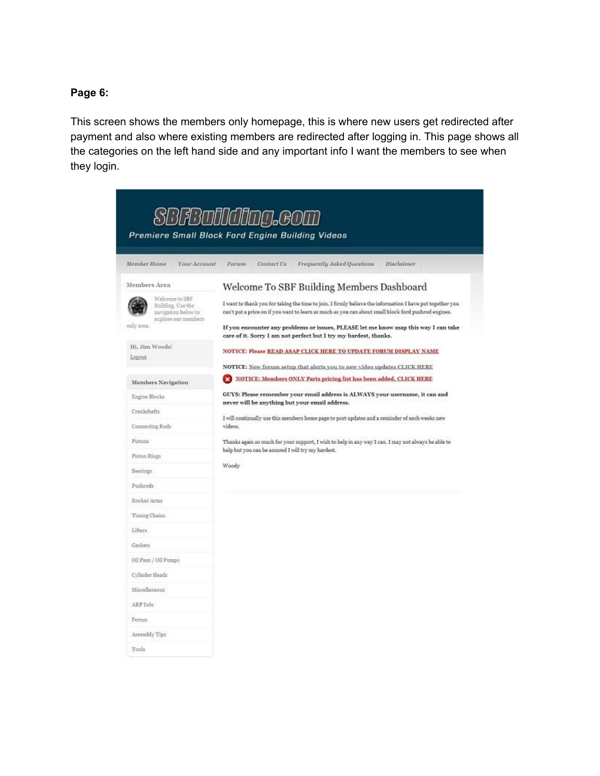## **Page 6:**

This screen shows the members only homepage, this is where new users get redirected after payment and also where existing members are redirected after logging in. This page shows all the categories on the left hand side and any important info I want the members to see when they login.

|                                     |                                            | 31 B BATTI IGITIMA GO<br>Premiere Small Block Ford Engine Building Videos                                                                                                                                         |
|-------------------------------------|--------------------------------------------|-------------------------------------------------------------------------------------------------------------------------------------------------------------------------------------------------------------------|
| Member Home                         | Your Account                               | Contact Us<br>Frequently Asked Questions<br>Disclaimer<br>Forum                                                                                                                                                   |
| Members Area                        |                                            | Welcome To SBF Building Members Dashboard                                                                                                                                                                         |
| Welcome to SBF<br>Building. Use the | navigation below to<br>explore our members | I want to thank you for taking the time to join. I firmly believe the information I have put together you<br>can't put a price on if you want to learn as much as you can about small block ford pushrod engines. |
| only area.                          |                                            | If you encounter any problems or issues, PLEASE let me know asap this way I can take<br>care of it. Sorry I am not perfect but I try my hardest, thanks.                                                          |
| Hi, Jim Woods!                      |                                            | NOTICE: Please READ ASAP CLICK HERE TO UPDATE FORUM DISPLAY NAME                                                                                                                                                  |
| Logout                              |                                            | NOTICE: New forum setup that alerts you to new video updates CLICK HERE                                                                                                                                           |
| Members Navigation                  |                                            | NOTICE: Members ONLY Parts pricing list has been added, CLICK HERE                                                                                                                                                |
| Engine Blocks                       |                                            | GUYS: Please remember your email address is ALWAYS your username, it can and                                                                                                                                      |
| Crankshafts                         |                                            | never will be anything but your email address.                                                                                                                                                                    |
| Connecting Rods                     |                                            | I will continually use this members home page to post updates and a reminder of each weeks new<br>videos.                                                                                                         |
| Pistons                             |                                            | Thanks again so much for your support, I wish to help in any way I can. I may not always be able to                                                                                                               |
| Piston Rings                        |                                            | help but you can be assured I will try my hardest.                                                                                                                                                                |
| Bearings                            |                                            | Woody                                                                                                                                                                                                             |
| Pushrods                            |                                            |                                                                                                                                                                                                                   |
| Rocker Arms                         |                                            |                                                                                                                                                                                                                   |
| Timing Chains                       |                                            |                                                                                                                                                                                                                   |
| Lifters                             |                                            |                                                                                                                                                                                                                   |
| Gaskets                             |                                            |                                                                                                                                                                                                                   |
| Oil Pans / Oil Pumps                |                                            |                                                                                                                                                                                                                   |
| Cylinder Heads                      |                                            |                                                                                                                                                                                                                   |
| Miscellaneous                       |                                            |                                                                                                                                                                                                                   |
| ARP Info                            |                                            |                                                                                                                                                                                                                   |
| Forum                               |                                            |                                                                                                                                                                                                                   |
| Assembly Tips                       |                                            |                                                                                                                                                                                                                   |
| Tools                               |                                            |                                                                                                                                                                                                                   |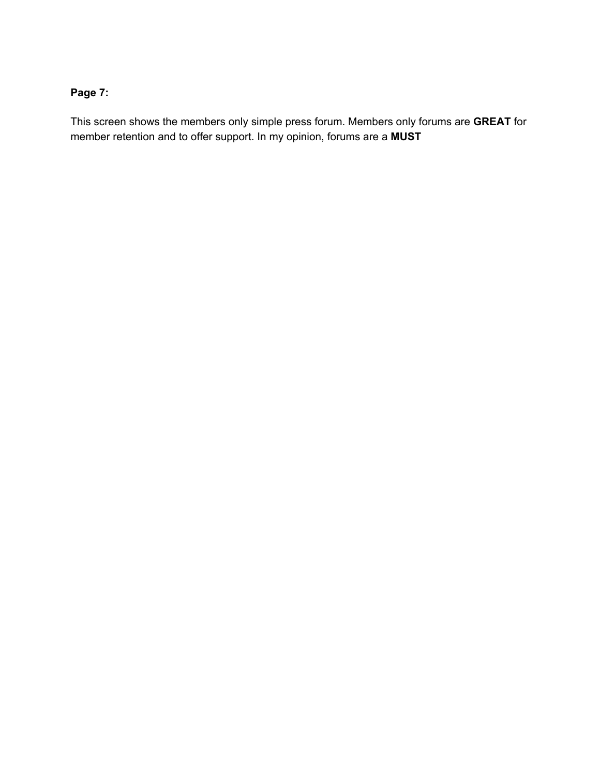## **Page 7:**

This screen shows the members only simple press forum. Members only forums are **GREAT**for member retention and to offer support. In my opinion, forums are a **MUST**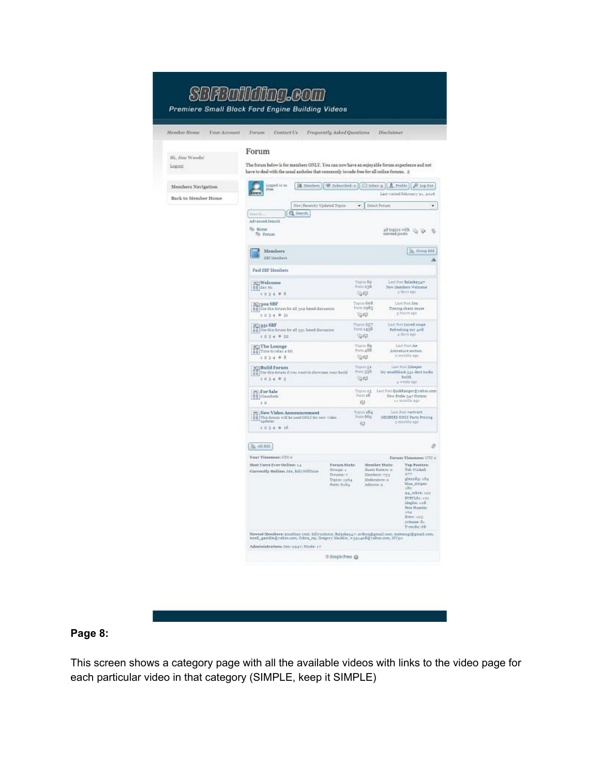#### SBFBailding.com Premiere Small Block Ford Engine Building Videos Member Home Your Account Forum Contact Us Frequently Asked Questions Disclaimer Forum Hi, Jim Woods! The forum below is for members ONLY. You can now have an enjoyable forum experience and not have to deal with the usual assholes that commonly invade free for all online forums. : )  $\begin{tabular}{|c|c|} \hline \quad \quad & \quad \quad & \quad \quad & \quad \quad & \quad \quad \\ \hline \quad \quad & \quad \quad & \quad \quad & \quad \quad & \quad \quad \\ \hline \quad \quad & \quad \quad & \quad \quad & \quad \quad \\ \hline \quad \quad & \quad \quad & \quad \quad & \quad \quad \\ \hline \end{tabular}$ Members Navigation [ Members ] [ Galaccionico [ Collaboro s ] **2**, Profile |  $P$  log Out ] Last vasted Pehruary 21, 2016 Back to Member Home New Recently Updated Topics  $\bullet$  Select Forum  $\bullet$  $\left[$   $Q$  fearch Search Advanced Search  $\Rightarrow$  Hene  $\Rightarrow$  Ferrari  $48$  topics with  $\sqrt{\varepsilon_0}$  .  $\sqrt[4]{\varepsilon_0}$  . <br> Q. Terread posts  $\begin{tabular}{|c|c|} \hline \multicolumn{3}{|c|}{\textbf{Members}}\\ \hline \multicolumn{3}{|c|}{\textbf{Members}}\\ \hline \multicolumn{3}{|c|}{\textbf{Members}}\\ \hline \end{tabular}$  $\sqrt{3}$  droup E22  $\Delta$ Paid SBF Mambara  $\begin{array}{c} \text{Lart Port } \text{Boltzblangar} \\ \text{New Hembrin Walconse} \\ \text{S dustage} \end{array}$  $\begin{array}{l} \text{Tugion}\, \delta 2 \\ \text{Pontz}\, 236 \end{array}$  $\frac{1}{\| \mathbf{1} \|}$  Welcome  $1234 + 6$  $\mathcal{A}$  $\begin{tabular}{|c|c|} \hline \textbf{25} & \textbf{300} & \textbf{58F} \\ \hline \textbf{11} & \textbf{06} & \textbf{95} & \textbf{56} & \textbf{187} \\ \hline \textbf{12} & \textbf{06} & \textbf{188} & \textbf{56} & \textbf{188} & \textbf{188} \\ \hline \textbf{13} & \textbf{06} & \textbf{088} & \textbf{188} & \textbf{188} & \textbf{188} \\ \hline \textbf{16} & \textbf{088} & \textbf{08$ Tryter 608<br>Parts 2983 Lert Post Jim Timing chain invase  $1234 + 51$  $\mathcal{G}^{\text{eff}}$ Last Post Juteed crope Trotts 257<br>Forts 1438 Refershing my 408<br>  $\pm$  dury ago  $1234 + 22$  $\mathbb{Q} \oplus$  $\begin{tabular}{|c|c|} \hline \textbf{F} & \textbf{The Longe} \\ \hline \textbf{I} & \textbf{Time total} & \textbf{I} & \textbf{III} \\ \hline \textbf{I} & \textbf{I} & \textbf{2} & \textbf{I} & \textbf{I} & \textbf{B} \\ \hline \end{tabular}$ List Port Ne Tigici So<br>Toto 488  $\begin{array}{c} \textbf{Iterative section}\\ \textbf{if }\textbf{metric}\text{ size} \end{array}$  $\mathbb{Q} \oplus$  $\begin{minipage}{0.5\textwidth} \begin{tabular}{p{0.5cm}p{0.5cm}} \hline & Lait Pout Lähinger \\ & \multicolumn{2}{c}{\textbf{Mif} } \textbf{and Loh} \\ & \multicolumn{2}{c}{\textbf{bufd}} \\ & \multicolumn{2}{c}{\textbf{duf} } \textbf{and Loh} \end{tabular} \end{minipage}$  $\frac{2^{m_1}}{n-1}$  Build Forum  $n$  you want to show<br>one your build Taponi 51<br>Posts 356  $1024 + 5$ **Get** Topics ag Last Port Quikkanger (ywhere com<br>Ports all New Prebs Age Partners New Probe  $\mathop{\mathrm{Sar}}\limits_{i,j}$  Platzen  $i,j$  months ago  $12.$  $\epsilon$  $\fbox{\parbox{1.5in}{ \begin{tabular}{|c|c|} \hline \textbf{m} & \textbf{New Video} \textbf{An}momentum \\ \textbf{m} & \textbf{m} & \textbf{m} & \textbf{m} \\ \textbf{m} & \textbf{m} & \textbf{m} \\ \textbf{m} & \textbf{m} \\ \textbf{m} & \textbf{m} \\ \textbf{m} & \textbf{m} \\ \end{tabular}}}\label{fig:1.1} The mean of the mean term in the interval $T$ and $T$ and $T$ is the mean of the interval $T$ and $T$ and $T$ is the mean of the interval $T$ and $T$ and $T$ is the mean of the interval $T$.}$ Topics 184<br>Posts 665 Lest Port verteert<br>MEMBERS ONLY Parts Pricing  $\mathfrak{S}$ 3 months ago  $1234 + 16$ × (m AR 855) Your Timenous UTCA Forum Timezone: UTC o Forum Stats:<br>Groups: 1<br>Forum: 7 Member Stats:<br>Guart Partere o<br>Members: 733 Mest Users Ever Online: 14 Top Posters:<br>Teh tricked: Currently Online: Jan, billyNOTnine 1877<br>glennfig: 184<br>blas\_striper<br>180 Topics: 1204<br>Potts: 6184 Moderators of Allmins 9 **94.00m** 188 94, 1987 121<br>STSTLS: 121<br>Maglin: 105<br>Petr Huestic<br>104<br>Dres: 103<br>Johann: 51<br>Tom&o: 68 Newest Members: jonethan crist, billynstnice, Balaskanay, ardens@gmeil.com, mstsangi@gmeil.com,<br>terell\_gamble@yabso.com, Cobra\_taj, Gregory Macklin, w351405@yabso.com, MV30-Administrators: Ann Eng?, Node: 17 O Steple Press @

Logost

## **Page 8:**

This screen shows a category page with all the available videos with links to the video page for each particular video in that category (SIMPLE, keep it SIMPLE)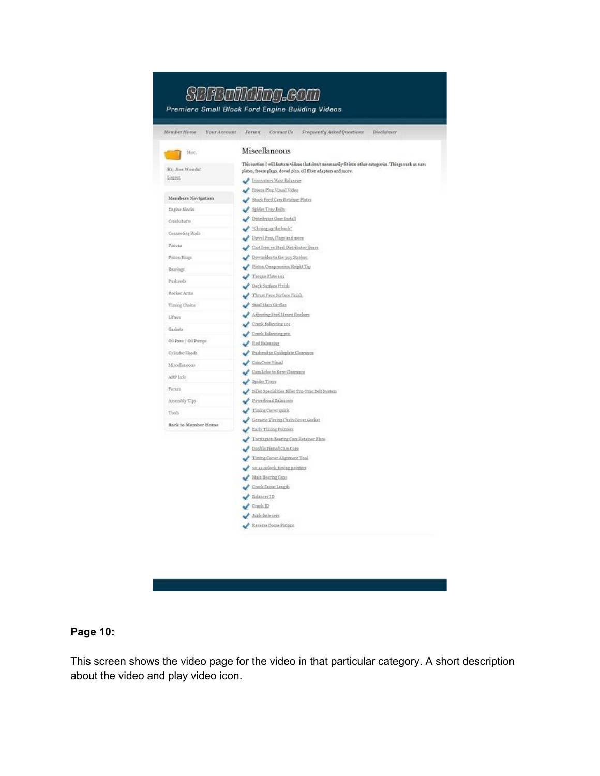| Member Home<br>Your Account | Forum<br>Contact Us<br>Frequently Asked Questions<br>Disclaimer                                         |
|-----------------------------|---------------------------------------------------------------------------------------------------------|
| Misc.                       | Miscellaneous                                                                                           |
| Hi. Jim Woods!              | This section I will feature videos that don't neonsarily fit into other categories. Things such as cam- |
| Logout                      | plates, freeze plugs, dowel pins, oil filter adapters and more.                                         |
|                             | Innovators West Balancer                                                                                |
| Members Nevigation          | Freeze Plug Visual Video                                                                                |
|                             | Stock Ford Cam Ratainer Plates<br>Spider Tray Boits                                                     |
| Engine Blocks               | Distributor Gear Install                                                                                |
| Crankshafts                 |                                                                                                         |
| Connecting Rods             | Closing up the back"<br>Dovel Fire, Plags and more                                                      |
| Pintona                     | Cast Iron va Steel Distributor Gears                                                                    |
| Piston Rings                | Downsides to the yay Stroker.                                                                           |
|                             | Fiston Compression Height Tip                                                                           |
| <b>Bearings</b>             | Torque Flate 101                                                                                        |
| Pushrods                    | Deck Surface Finish                                                                                     |
| Roclose Arms                | Thrust Face Surface Finish                                                                              |
| Timing Chains               | Steel Main Girrilea                                                                                     |
| Lifters                     | Adjusting Stud Mount Rockers                                                                            |
|                             | Crank Balancing 101                                                                                     |
| Gaskets                     | Crank Balancing ptz                                                                                     |
| Oil Para / Oil Pumps        | Red Salancing                                                                                           |
| Cylinder Heads              | Pathrod to Guideplate Clearance                                                                         |
| Miscellaneous               | Carn Core Visual                                                                                        |
|                             | Cam Lobe to Bore Clearance                                                                              |
| ARP Info                    | Spider Trays                                                                                            |
| Forum.                      | Ellet Specialities follet Tru-Truc Belt System                                                          |
| Assembly Tips               | Poverbond Ealencers                                                                                     |
| Tools                       | Tining Cover quick                                                                                      |
| Back to Member Home         | Cameric Timing Chain Cover Garket                                                                       |
|                             | Early Timing Pointers                                                                                   |
|                             | Torrington Bearing Cars Retainer Plate                                                                  |
|                             | Double Finned Cars Core                                                                                 |
|                             | Timing Cover Alignment Tool                                                                             |
|                             | to-u odock timing pointers                                                                              |
|                             | Main Bearing Caps                                                                                       |
|                             | Crazk Szout Length                                                                                      |
|                             | Balancer ID                                                                                             |
|                             | $\sqrt{$ Crank ID                                                                                       |
|                             | Jank fasteners                                                                                          |
|                             | Reverse Dome Pistons                                                                                    |

## **Page 10:**

This screen shows the video page for the video in that particular category. A short description about the video and play video icon.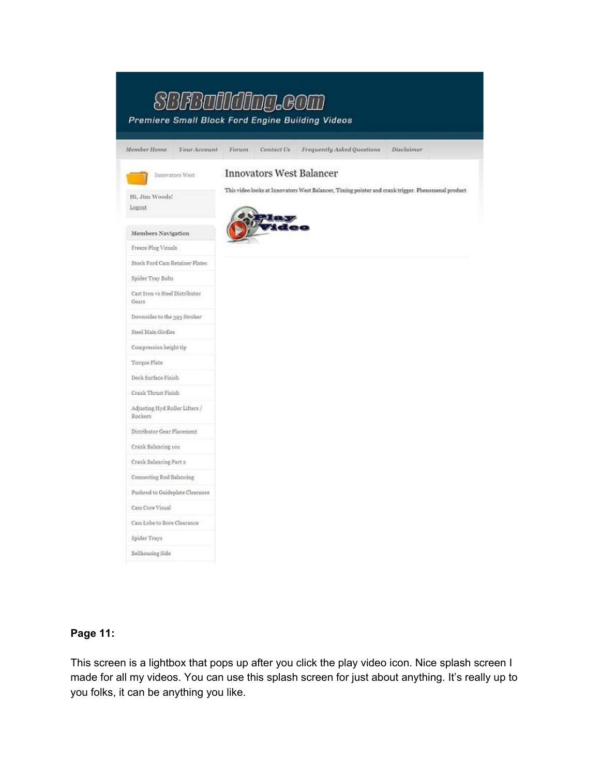|                                           | Premiere Small Block Ford Engine Building Videos                                                   |
|-------------------------------------------|----------------------------------------------------------------------------------------------------|
| Member Home<br>Your Account               | Contact Us<br>Frequently Asked Questions<br>Disclaimer<br>Forum                                    |
| Innovators West                           | <b>Innovators West Balancer</b>                                                                    |
| Hi, Jim Woods!<br>Logout                  | This video looks at Innovators West Balancer, Timing pointer and erank trigger. Phenomenal product |
| Members Navigation                        |                                                                                                    |
| Freeze Plug Visuals                       |                                                                                                    |
| Stock Ford Cam Retainer Plates            |                                                                                                    |
| Spider Tray Bolts                         |                                                                                                    |
| Cast Iron vs Steel Distributor<br>Gears   |                                                                                                    |
| Downsides to the 393 Stroker              |                                                                                                    |
| Steel Main Girdles                        |                                                                                                    |
| Compression height tip                    |                                                                                                    |
| Torque Plate                              |                                                                                                    |
| Deck Surface Finish                       |                                                                                                    |
| Crank Thrust Finish                       |                                                                                                    |
| Adjusting Hyd Roller Lifters /<br>Rockers |                                                                                                    |
| Distributor Gear Placement                |                                                                                                    |
| Crank Balancing 101                       |                                                                                                    |
| Crank Balancing Part 2                    |                                                                                                    |
| Connecting Rod Balancing                  |                                                                                                    |
| Pushred to Guideplate Clearance           |                                                                                                    |
| Cam Core Visual                           |                                                                                                    |
| Cam Lobe to Bore Clearance                |                                                                                                    |
| Spider Trays                              |                                                                                                    |
| Bellhousing Side                          |                                                                                                    |

## **Page 11:**

This screen is a lightbox that pops up after you click the play video icon. Nice splash screen I made for all my videos. You can use this splash screen for just about anything. It's really up to you folks, it can be anything you like.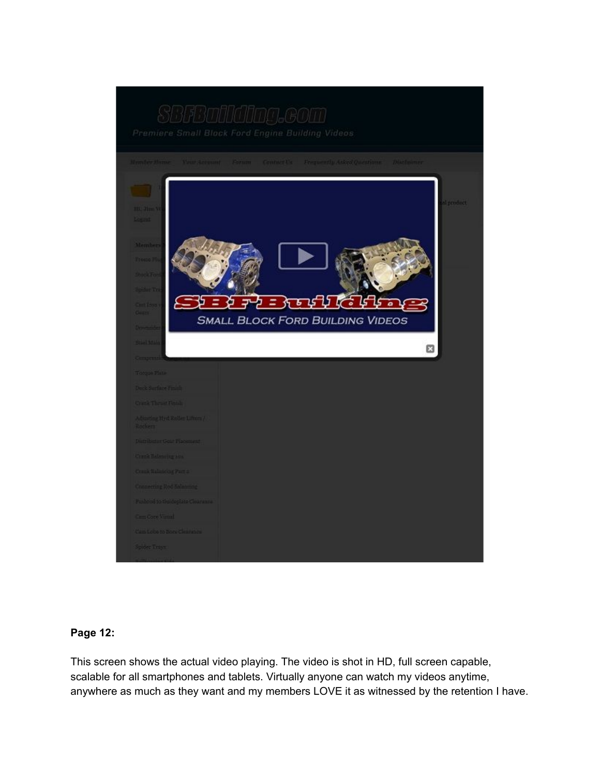

## **Page 12:**

This screen shows the actual video playing. The video is shot in HD, full screen capable, scalable for all smartphones and tablets. Virtually anyone can watch my videos anytime, anywhere as much as they want and my members LOVE it as witnessed by the retention I have.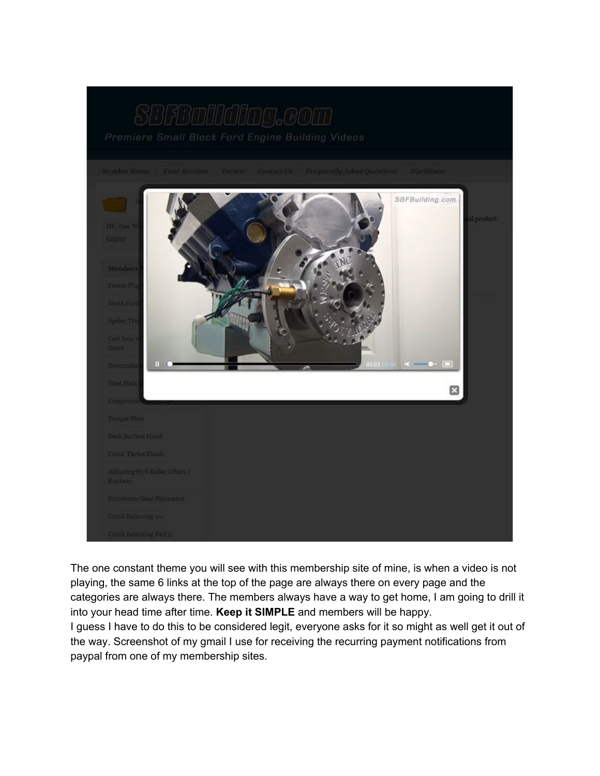

The one constant theme you will see with this membership site of mine, is when a video is not playing, the same 6 links at the top of the page are always there on every page and the categories are always there. The members always have a way to get home, I am going to drill it into your head time after time. **Keep it SIMPLE**and members will be happy. I guess I have to do this to be considered legit, everyone asks for it so might as well get it out of the way. Screenshot of my gmail I use for receiving the recurring payment notifications from paypal from one of my membership sites.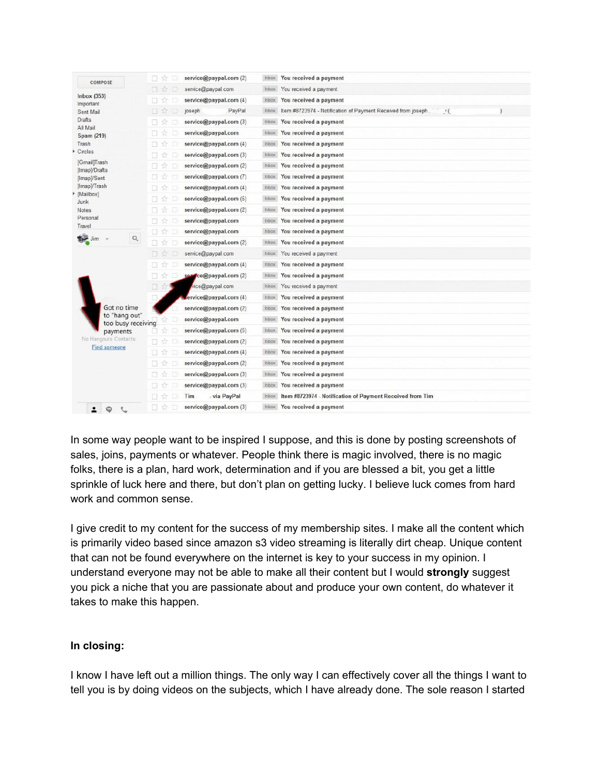|                                                                                               | service@paypal.com (2)<br>u<br>YX.          | You received a payment<br><b>Inbox</b>                                                  |  |
|-----------------------------------------------------------------------------------------------|---------------------------------------------|-----------------------------------------------------------------------------------------|--|
| COMPOSE                                                                                       | Y.<br>service@paypal.com<br>同               | You received a payment<br><b>Inbox</b>                                                  |  |
| Inbox (353)<br>Important<br>Sent Mail<br>Drafts<br>All Mail<br>Spam (219)<br>Trash<br>Circles | 立<br>service@paypal.com (4)<br>o            | You received a payment<br><b>Inbox</b>                                                  |  |
|                                                                                               | PayPal<br>☆□<br>joseph<br>n.                | Item #8723974 - Notification of Payment Received from joseph<br><b>Inbox</b><br>$\cdot$ |  |
|                                                                                               | service@paypal.com (3)                      | <b>Inbox</b><br>You received a payment                                                  |  |
|                                                                                               | service@paypal.com<br>ы                     | <b>Inbox</b><br>You received a payment                                                  |  |
|                                                                                               | service@paypal.com (4)<br>n<br>ŵ            | You received a payment<br>Inbox                                                         |  |
|                                                                                               | Ÿz<br>service@paypal.com (3)<br>п           | You received a payment<br><b>Inbox</b>                                                  |  |
| [Gmail]Trash                                                                                  | service@paypal.com (2)<br>o.<br>Ŵ           | You received a payment<br><b>Inbox</b>                                                  |  |
| [Imap]/Drafts<br>[Imap]/Sent                                                                  | service@paypal.com (7)<br>T.T               | You received a payment<br>Inbox                                                         |  |
| [Imap]/Trash                                                                                  | service@paypal.com (4)<br>57                | <b>Inbox</b><br>You received a payment                                                  |  |
| [Mailbox]                                                                                     | service@paypal.com (5)<br>Ń<br>Ð            | You received a payment<br><b>Inbox</b>                                                  |  |
| Junk<br>Notes                                                                                 | ☆<br>service@paypal.com (2)<br>n.           | You received a payment<br><b>Inbox</b>                                                  |  |
| Personal                                                                                      | service@paypal.com<br>п<br>ŵ                | <b>Inbox</b><br>You received a payment                                                  |  |
| Travel                                                                                        | service@paypal.com<br>n<br>ŵ                | <b>Inbox</b><br>You received a payment                                                  |  |
| $\hbox{\footnotesize Q}$<br>Jim                                                               | service@paypal.com (2)<br>п<br>Y.           | You received a payment<br>Inbox                                                         |  |
|                                                                                               | service@paypal.com<br>$\Box$<br>焓           | You received a payment<br>Inbox                                                         |  |
|                                                                                               | П.<br>☆<br>service@paypal.com (4)           | You received a payment<br>kedni                                                         |  |
|                                                                                               | ce@paypal.com (2)<br>B<br>Y.Z<br><b>SQL</b> | <b>Inbox</b><br>You received a payment                                                  |  |
|                                                                                               | 日文<br>vice@paypal.com                       | You received a payment<br><b>Inbox</b>                                                  |  |
| Got no time<br>to "hang out"<br>too busy receiving<br>payments                                | ervice@paypal.com (4)                       | Inbox<br>You received a payment                                                         |  |
|                                                                                               | service@paypal.com (2)                      | You received a payment<br><b>Inbox</b>                                                  |  |
|                                                                                               | service@paypal.com                          | <b>Inbox</b><br>You received a payment                                                  |  |
|                                                                                               | service@paypal.com (5)                      | Inbox<br>You received a payment                                                         |  |
| No Hangouts Contacts                                                                          | service@paypal.com (2)                      | <b>Inbox</b><br>You received a payment                                                  |  |
| <b>Find someone</b>                                                                           | service@paypal.com (4)                      | You received a payment<br><b>Inbox</b>                                                  |  |
|                                                                                               | service@paypal.com (2)<br>37                | You received a payment<br>Inbox                                                         |  |
|                                                                                               | ☆<br>service@paypal.com (3)<br>п            | You received a payment<br><b>Inbox</b>                                                  |  |
|                                                                                               | service@paypal.com (3)                      | Inbox<br>You received a payment                                                         |  |
|                                                                                               | via PayPal<br>Tim                           | Item #8723974 - Notification of Payment Received from Tim<br><b>Inbox</b>               |  |
| $\circledcirc$                                                                                | service@paypal.com (3)<br>п<br>Ŵ            | Inbox You received a payment                                                            |  |

In some way people want to be inspired I suppose, and this is done by posting screenshots of sales, joins, payments or whatever. People think there is magic involved, there is no magic folks, there is a plan, hard work, determination and if you are blessed a bit, you get a little sprinkle of luck here and there, but don't plan on getting lucky. I believe luck comes from hard work and common sense.

I give credit to my content for the success of my membership sites. I make all the content which is primarily video based since amazon s3 video streaming is literally dirt cheap. Unique content that can not be found everywhere on the internet is key to your success in my opinion. I understand everyone may not be able to make all their content but I would **strongly**suggest you pick a niche that you are passionate about and produce your own content, do whatever it takes to make this happen.

## **In closing:**

I know I have left out a million things. The only way I can effectively cover all the things I want to tell you is by doing videos on the subjects, which I have already done. The sole reason I started